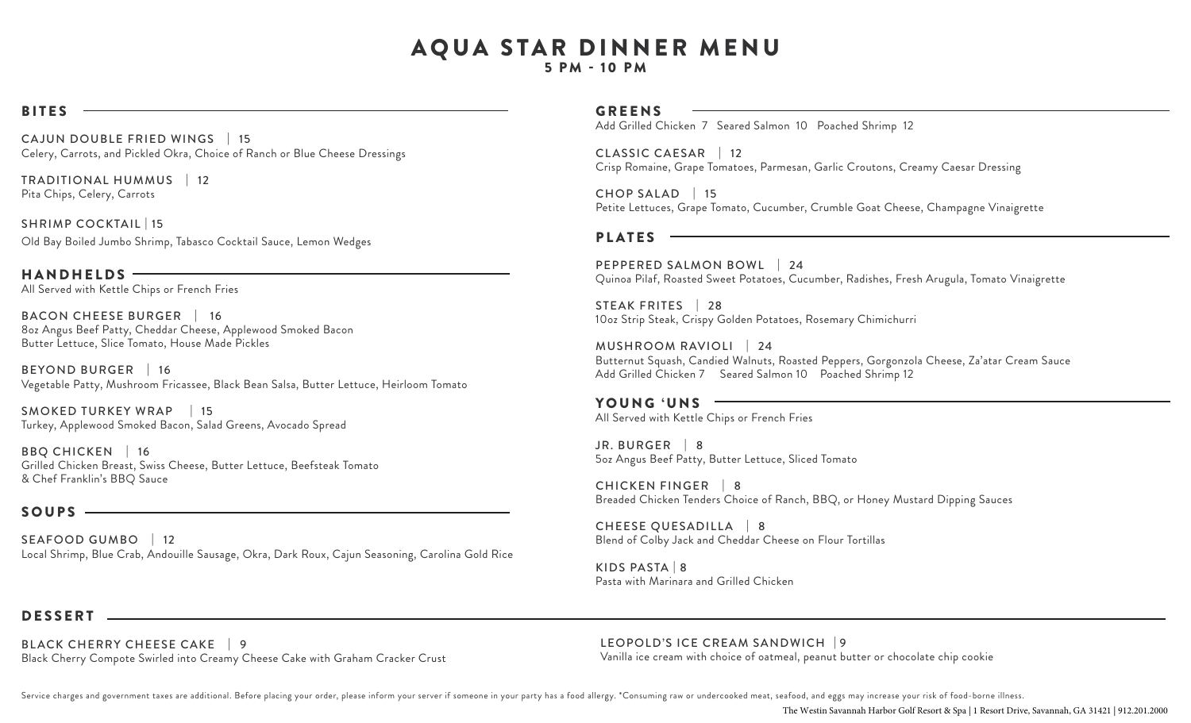# AQUA STAR DINNER MENU

5 PM - 10 PM

#### BITES

 CA JUN DOUBLE FRIED WINGS | 15 Celery, Carrots, and Pickled Okra, Choice of Ranch or Blue Cheese Dressings

TRADITIONAL HUMMUS | 12 Pita Chips, Celery, Carrots

SHRIMP COCKTAIL | 15 Old Bay Boiled Jumbo Shrimp, Tabasco Cocktail Sauce, Lemon Wedges

HANDHELDS All Served with Kettle Chips or French Fries

 BACON CHEESE BURGER | 16 8oz Angus Beef Patty, Cheddar Cheese, Applewood Smoked Bacon Butter Lettuce, Slice Tomato, House Made Pickles

BEYOND BURGER | 16 Vegetable Patty, Mushroom Fricassee, Black Bean Salsa, Butter Lettuce, Heirloom Tomato

 SMOKED TURKEY WRAP | 15 Turkey, Applewood Smoked Bacon, Salad Greens, Avocado Spread

BBQ CHICKEN | 16 Grilled Chicken Breast, Swiss Cheese, Butter Lettuce, Beefsteak Tomato & Chef Franklin's BBQ Sauce

#### SOUPS -

SEAFOOD GUMBO | 12 Local Shrimp, Blue Crab, Andouille Sausage, Okra, Dark Roux, Cajun Seasoning, Carolina Gold Rice

#### GREENS

Add Grilled Chicken 7 Seared Salmon 10 Poached Shrimp 12

CLASSIC CAESAR | 12 Crisp Romaine, Grape Tomatoes, Parmesan, Garlic Croutons, Creamy Caesar Dressing

CHOP SALAD | 15 Petite Lettuces, Grape Tomato, Cucumber, Crumble Goat Cheese, Champagne Vinaigrette

## PLATES

PEPPERED SALMON BOWL | 24 Quinoa Pilaf, Roasted Sweet Potatoes, Cucumber, Radishes, Fresh Arugula, Tomato Vinaigrette

STEAK FRITES | 28 10oz Strip Steak, Crispy Golden Potatoes, Rosemary Chimichurri

MUSHROOM RAVIOLI | 24 Butternut Squash, Candied Walnuts, Roasted Peppers, Gorgonzola Cheese, Za'atar Cream Sauce Add Grilled Chicken 7 Seared Salmon 10 Poached Shrimp 12

#### YOUNG 'UNS -

All Served with Kettle Chips or French Fries

JR. BURGER | 8 5oz Angus Beef Patty, Butter Lettuce, Sliced Tomato

CHICKEN FINGER | 8 Breaded Chicken Tenders Choice of Ranch, BBQ, or Honey Mustard Dipping Sauces

CHEESE QUESADILLA | 8 Blend of Colby Jack and Cheddar Cheese on Flour Tortillas

KIDS PASTA | 8 Pasta with Marinara and Grilled Chicken

#### DESSERT

BLACK CHERRY CHEESE CAKE | 9 LEOPOLD'S ICE CREAM SANDWICH | 9 Black Cherry Compote Swirled into Creamy Cheese Cake with Graham Cracker Crust

LEOPOLD'S ICE CREAM SANDWICH | 9

Service charges and government taxes are additional. Before placing your order, please inform your server if someone in your party has a food allergy. \*Consuming raw or undercooked meat, seafood, and eggs may increase your

The Westin Savannah Harbor Golf Resort & Spa | 1 Resort Drive, Savannah, GA 31421 | 912.201.2000